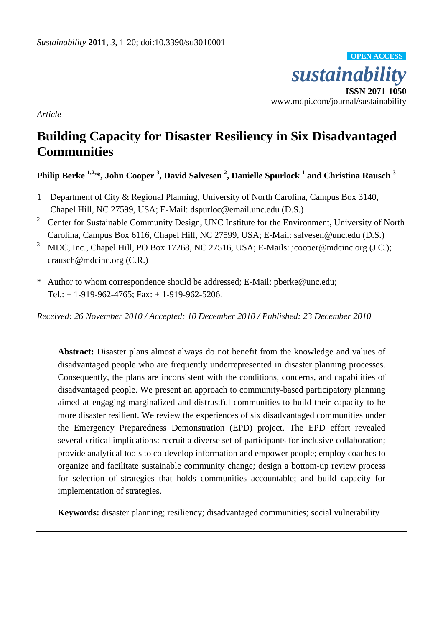*sustainability*  **ISSN 2071-1050**  www.mdpi.com/journal/sustainability **OPEN ACCESS**

*Article*

# **Building Capacity for Disaster Resiliency in Six Disadvantaged Communities**

**Philip Berke 1,2,\*, John Cooper 3 , David Salvesen <sup>2</sup> , Danielle Spurlock 1 and Christina Rausch <sup>3</sup>**

- 1 Department of City & Regional Planning, University of North Carolina, Campus Box 3140, Chapel Hill, NC 27599, USA; E-Mail: dspurloc@email.unc.edu (D.S.)
- <sup>2</sup> Center for Sustainable Community Design, UNC Institute for the Environment, University of North Carolina, Campus Box 6116, Chapel Hill, NC 27599, USA; E-Mail: salvesen@unc.edu (D.S.)
- 3 MDC, Inc., Chapel Hill, PO Box 17268, NC 27516, USA; E-Mails: jcooper@mdcinc.org (J.C.); crausch@mdcinc.org (C.R.)
- \* Author to whom correspondence should be addressed; E-Mail: pberke@unc.edu; Tel.: + 1-919-962-4765; Fax: + 1-919-962-5206.

*Received: 26 November 2010 / Accepted: 10 December 2010 / Published: 23 December 2010* 

**Abstract:** Disaster plans almost always do not benefit from the knowledge and values of disadvantaged people who are frequently underrepresented in disaster planning processes. Consequently, the plans are inconsistent with the conditions, concerns, and capabilities of disadvantaged people. We present an approach to community-based participatory planning aimed at engaging marginalized and distrustful communities to build their capacity to be more disaster resilient. We review the experiences of six disadvantaged communities under the Emergency Preparedness Demonstration (EPD) project. The EPD effort revealed several critical implications: recruit a diverse set of participants for inclusive collaboration; provide analytical tools to co-develop information and empower people; employ coaches to organize and facilitate sustainable community change; design a bottom-up review process for selection of strategies that holds communities accountable; and build capacity for implementation of strategies.

**Keywords:** disaster planning; resiliency; disadvantaged communities; social vulnerability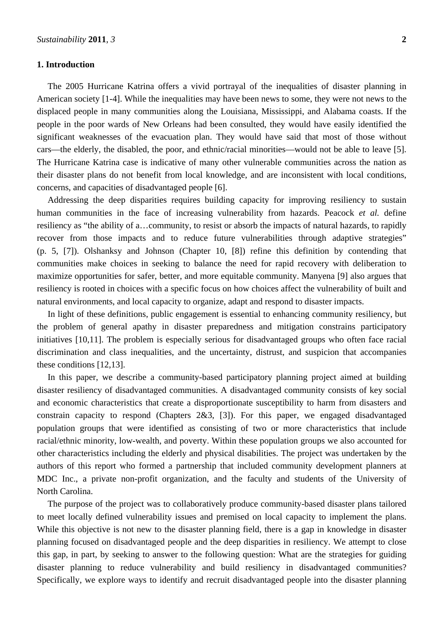## **1. Introduction**

The 2005 Hurricane Katrina offers a vivid portrayal of the inequalities of disaster planning in American society [1-4]. While the inequalities may have been news to some, they were not news to the displaced people in many communities along the Louisiana, Mississippi, and Alabama coasts. If the people in the poor wards of New Orleans had been consulted, they would have easily identified the significant weaknesses of the evacuation plan. They would have said that most of those without cars—the elderly, the disabled, the poor, and ethnic/racial minorities—would not be able to leave [5]. The Hurricane Katrina case is indicative of many other vulnerable communities across the nation as their disaster plans do not benefit from local knowledge, and are inconsistent with local conditions, concerns, and capacities of disadvantaged people [6].

Addressing the deep disparities requires building capacity for improving resiliency to sustain human communities in the face of increasing vulnerability from hazards. Peacock *et al.* define resiliency as "the ability of a…community, to resist or absorb the impacts of natural hazards, to rapidly recover from those impacts and to reduce future vulnerabilities through adaptive strategies" (p. 5, [7]). Olshanksy and Johnson (Chapter 10, [8]) refine this definition by contending that communities make choices in seeking to balance the need for rapid recovery with deliberation to maximize opportunities for safer, better, and more equitable community. Manyena [9] also argues that resiliency is rooted in choices with a specific focus on how choices affect the vulnerability of built and natural environments, and local capacity to organize, adapt and respond to disaster impacts.

In light of these definitions, public engagement is essential to enhancing community resiliency, but the problem of general apathy in disaster preparedness and mitigation constrains participatory initiatives [10,11]. The problem is especially serious for disadvantaged groups who often face racial discrimination and class inequalities, and the uncertainty, distrust, and suspicion that accompanies these conditions [12,13].

In this paper, we describe a community-based participatory planning project aimed at building disaster resiliency of disadvantaged communities. A disadvantaged community consists of key social and economic characteristics that create a disproportionate susceptibility to harm from disasters and constrain capacity to respond (Chapters 2&3, [3]). For this paper, we engaged disadvantaged population groups that were identified as consisting of two or more characteristics that include racial/ethnic minority, low-wealth, and poverty. Within these population groups we also accounted for other characteristics including the elderly and physical disabilities. The project was undertaken by the authors of this report who formed a partnership that included community development planners at MDC Inc., a private non-profit organization, and the faculty and students of the University of North Carolina.

The purpose of the project was to collaboratively produce community-based disaster plans tailored to meet locally defined vulnerability issues and premised on local capacity to implement the plans. While this objective is not new to the disaster planning field, there is a gap in knowledge in disaster planning focused on disadvantaged people and the deep disparities in resiliency. We attempt to close this gap, in part, by seeking to answer to the following question: What are the strategies for guiding disaster planning to reduce vulnerability and build resiliency in disadvantaged communities? Specifically, we explore ways to identify and recruit disadvantaged people into the disaster planning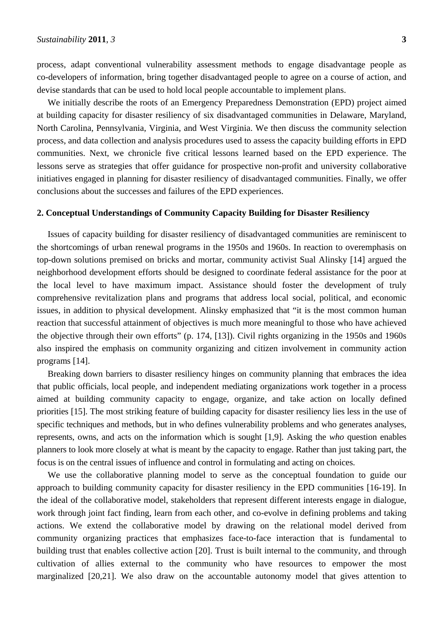process, adapt conventional vulnerability assessment methods to engage disadvantage people as co-developers of information, bring together disadvantaged people to agree on a course of action, and devise standards that can be used to hold local people accountable to implement plans.

We initially describe the roots of an Emergency Preparedness Demonstration (EPD) project aimed at building capacity for disaster resiliency of six disadvantaged communities in Delaware, Maryland, North Carolina, Pennsylvania, Virginia, and West Virginia. We then discuss the community selection process, and data collection and analysis procedures used to assess the capacity building efforts in EPD communities. Next, we chronicle five critical lessons learned based on the EPD experience. The lessons serve as strategies that offer guidance for prospective non-profit and university collaborative initiatives engaged in planning for disaster resiliency of disadvantaged communities. Finally, we offer conclusions about the successes and failures of the EPD experiences.

## **2. Conceptual Understandings of Community Capacity Building for Disaster Resiliency**

Issues of capacity building for disaster resiliency of disadvantaged communities are reminiscent to the shortcomings of urban renewal programs in the 1950s and 1960s. In reaction to overemphasis on top-down solutions premised on bricks and mortar, community activist Sual Alinsky [14] argued the neighborhood development efforts should be designed to coordinate federal assistance for the poor at the local level to have maximum impact. Assistance should foster the development of truly comprehensive revitalization plans and programs that address local social, political, and economic issues, in addition to physical development. Alinsky emphasized that "it is the most common human reaction that successful attainment of objectives is much more meaningful to those who have achieved the objective through their own efforts" (p. 174, [13]). Civil rights organizing in the 1950s and 1960s also inspired the emphasis on community organizing and citizen involvement in community action programs [14].

Breaking down barriers to disaster resiliency hinges on community planning that embraces the idea that public officials, local people, and independent mediating organizations work together in a process aimed at building community capacity to engage, organize, and take action on locally defined priorities [15]. The most striking feature of building capacity for disaster resiliency lies less in the use of specific techniques and methods, but in who defines vulnerability problems and who generates analyses, represents, owns, and acts on the information which is sought [1,9]. Asking the *who* question enables planners to look more closely at what is meant by the capacity to engage. Rather than just taking part, the focus is on the central issues of influence and control in formulating and acting on choices.

We use the collaborative planning model to serve as the conceptual foundation to guide our approach to building community capacity for disaster resiliency in the EPD communities [16-19]. In the ideal of the collaborative model, stakeholders that represent different interests engage in dialogue, work through joint fact finding, learn from each other, and co-evolve in defining problems and taking actions. We extend the collaborative model by drawing on the relational model derived from community organizing practices that emphasizes face-to-face interaction that is fundamental to building trust that enables collective action [20]. Trust is built internal to the community, and through cultivation of allies external to the community who have resources to empower the most marginalized [20,21]. We also draw on the accountable autonomy model that gives attention to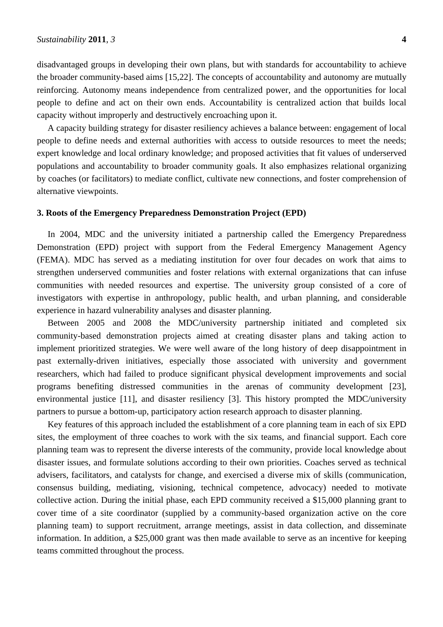disadvantaged groups in developing their own plans, but with standards for accountability to achieve the broader community-based aims [15,22]. The concepts of accountability and autonomy are mutually reinforcing. Autonomy means independence from centralized power, and the opportunities for local people to define and act on their own ends. Accountability is centralized action that builds local capacity without improperly and destructively encroaching upon it.

A capacity building strategy for disaster resiliency achieves a balance between: engagement of local people to define needs and external authorities with access to outside resources to meet the needs; expert knowledge and local ordinary knowledge; and proposed activities that fit values of underserved populations and accountability to broader community goals. It also emphasizes relational organizing by coaches (or facilitators) to mediate conflict, cultivate new connections, and foster comprehension of alternative viewpoints.

## **3. Roots of the Emergency Preparedness Demonstration Project (EPD)**

In 2004, MDC and the university initiated a partnership called the Emergency Preparedness Demonstration (EPD) project with support from the Federal Emergency Management Agency (FEMA). MDC has served as a mediating institution for over four decades on work that aims to strengthen underserved communities and foster relations with external organizations that can infuse communities with needed resources and expertise. The university group consisted of a core of investigators with expertise in anthropology, public health, and urban planning, and considerable experience in hazard vulnerability analyses and disaster planning.

Between 2005 and 2008 the MDC/university partnership initiated and completed six community-based demonstration projects aimed at creating disaster plans and taking action to implement prioritized strategies. We were well aware of the long history of deep disappointment in past externally-driven initiatives, especially those associated with university and government researchers, which had failed to produce significant physical development improvements and social programs benefiting distressed communities in the arenas of community development [23], environmental justice [11], and disaster resiliency [3]. This history prompted the MDC/university partners to pursue a bottom-up, participatory action research approach to disaster planning.

Key features of this approach included the establishment of a core planning team in each of six EPD sites, the employment of three coaches to work with the six teams, and financial support. Each core planning team was to represent the diverse interests of the community, provide local knowledge about disaster issues, and formulate solutions according to their own priorities. Coaches served as technical advisers, facilitators, and catalysts for change, and exercised a diverse mix of skills (communication, consensus building, mediating, visioning, technical competence, advocacy) needed to motivate collective action. During the initial phase, each EPD community received a \$15,000 planning grant to cover time of a site coordinator (supplied by a community-based organization active on the core planning team) to support recruitment, arrange meetings, assist in data collection, and disseminate information. In addition, a \$25,000 grant was then made available to serve as an incentive for keeping teams committed throughout the process.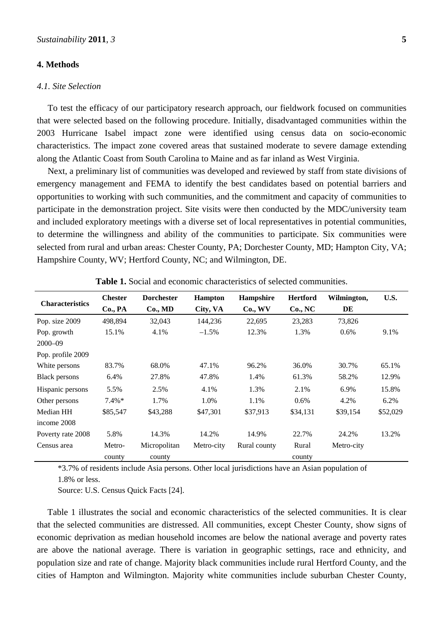## **4. Methods**

## *4.1. Site Selection*

To test the efficacy of our participatory research approach, our fieldwork focused on communities that were selected based on the following procedure. Initially, disadvantaged communities within the 2003 Hurricane Isabel impact zone were identified using census data on socio-economic characteristics. The impact zone covered areas that sustained moderate to severe damage extending along the Atlantic Coast from South Carolina to Maine and as far inland as West Virginia.

Next, a preliminary list of communities was developed and reviewed by staff from state divisions of emergency management and FEMA to identify the best candidates based on potential barriers and opportunities to working with such communities, and the commitment and capacity of communities to participate in the demonstration project. Site visits were then conducted by the MDC/university team and included exploratory meetings with a diverse set of local representatives in potential communities, to determine the willingness and ability of the communities to participate. Six communities were selected from rural and urban areas: Chester County, PA; Dorchester County, MD; Hampton City, VA; Hampshire County, WV; Hertford County, NC; and Wilmington, DE.

|                        | <b>Chester</b> | <b>Dorchester</b> | <b>Hampton</b> | Hampshire    | <b>Hertford</b> | Wilmington, | U.S.     |
|------------------------|----------------|-------------------|----------------|--------------|-----------------|-------------|----------|
| <b>Characteristics</b> | Co., PA        | Co., MD           | City, VA       | Co., WV      | Co., NC         | DE          |          |
| Pop. size 2009         | 498,894        | 32,043            | 144,236        | 22,695       | 23,283          | 73,826      |          |
| Pop. growth            | 15.1%          | 4.1%              | $-1.5\%$       | 12.3%        | 1.3%            | $0.6\%$     | 9.1%     |
| $2000 - 09$            |                |                   |                |              |                 |             |          |
| Pop. profile 2009      |                |                   |                |              |                 |             |          |
| White persons          | 83.7%          | 68.0%             | 47.1%          | 96.2%        | 36.0%           | 30.7%       | 65.1%    |
| <b>Black persons</b>   | 6.4%           | 27.8%             | 47.8%          | 1.4%         | 61.3%           | 58.2%       | 12.9%    |
| Hispanic persons       | 5.5%           | 2.5%              | 4.1%           | 1.3%         | 2.1%            | 6.9%        | 15.8%    |
| Other persons          | $7.4\%*$       | 1.7%              | 1.0%           | 1.1%         | 0.6%            | 4.2%        | 6.2%     |
| Median HH              | \$85,547       | \$43,288          | \$47,301       | \$37,913     | \$34,131        | \$39,154    | \$52,029 |
| income 2008            |                |                   |                |              |                 |             |          |
| Poverty rate 2008      | 5.8%           | 14.3%             | 14.2%          | 14.9%        | 22.7%           | 24.2%       | 13.2%    |
| Census area            | Metro-         | Micropolitan      | Metro-city     | Rural county | Rural           | Metro-city  |          |
|                        | county         | county            |                |              | county          |             |          |

**Table 1.** Social and economic characteristics of selected communities.

\*3.7% of residents include Asia persons. Other local jurisdictions have an Asian population of 1.8% or less.

Source: U.S. Census Quick Facts [24].

Table 1 illustrates the social and economic characteristics of the selected communities. It is clear that the selected communities are distressed. All communities, except Chester County, show signs of economic deprivation as median household incomes are below the national average and poverty rates are above the national average. There is variation in geographic settings, race and ethnicity, and population size and rate of change. Majority black communities include rural Hertford County, and the cities of Hampton and Wilmington. Majority white communities include suburban Chester County,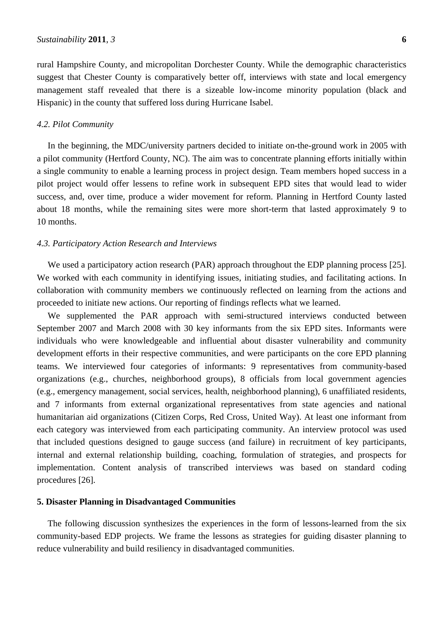rural Hampshire County, and micropolitan Dorchester County. While the demographic characteristics suggest that Chester County is comparatively better off, interviews with state and local emergency management staff revealed that there is a sizeable low-income minority population (black and Hispanic) in the county that suffered loss during Hurricane Isabel.

#### *4.2. Pilot Community*

In the beginning, the MDC/university partners decided to initiate on-the-ground work in 2005 with a pilot community (Hertford County, NC). The aim was to concentrate planning efforts initially within a single community to enable a learning process in project design. Team members hoped success in a pilot project would offer lessens to refine work in subsequent EPD sites that would lead to wider success, and, over time, produce a wider movement for reform. Planning in Hertford County lasted about 18 months, while the remaining sites were more short-term that lasted approximately 9 to 10 months.

## *4.3. Participatory Action Research and Interviews*

We used a participatory action research (PAR) approach throughout the EDP planning process [25]. We worked with each community in identifying issues, initiating studies, and facilitating actions. In collaboration with community members we continuously reflected on learning from the actions and proceeded to initiate new actions. Our reporting of findings reflects what we learned.

We supplemented the PAR approach with semi-structured interviews conducted between September 2007 and March 2008 with 30 key informants from the six EPD sites. Informants were individuals who were knowledgeable and influential about disaster vulnerability and community development efforts in their respective communities, and were participants on the core EPD planning teams. We interviewed four categories of informants: 9 representatives from community-based organizations (e.g., churches, neighborhood groups), 8 officials from local government agencies (e.g., emergency management, social services, health, neighborhood planning), 6 unaffiliated residents, and 7 informants from external organizational representatives from state agencies and national humanitarian aid organizations (Citizen Corps, Red Cross, United Way). At least one informant from each category was interviewed from each participating community. An interview protocol was used that included questions designed to gauge success (and failure) in recruitment of key participants, internal and external relationship building, coaching, formulation of strategies, and prospects for implementation. Content analysis of transcribed interviews was based on standard coding procedures [26].

## **5. Disaster Planning in Disadvantaged Communities**

The following discussion synthesizes the experiences in the form of lessons-learned from the six community-based EDP projects. We frame the lessons as strategies for guiding disaster planning to reduce vulnerability and build resiliency in disadvantaged communities.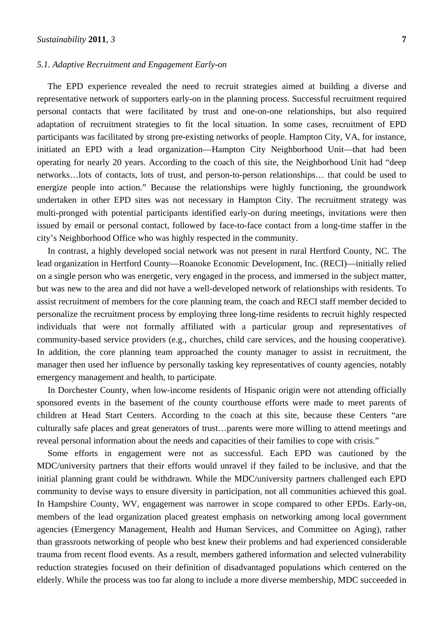#### *5.1. Adaptive Recruitment and Engagement Early-on*

The EPD experience revealed the need to recruit strategies aimed at building a diverse and representative network of supporters early-on in the planning process. Successful recruitment required personal contacts that were facilitated by trust and one-on-one relationships, but also required adaptation of recruitment strategies to fit the local situation. In some cases, recruitment of EPD participants was facilitated by strong pre-existing networks of people. Hampton City, VA, for instance, initiated an EPD with a lead organization—Hampton City Neighborhood Unit—that had been operating for nearly 20 years. According to the coach of this site, the Neighborhood Unit had "deep networks…lots of contacts, lots of trust, and person-to-person relationships… that could be used to energize people into action." Because the relationships were highly functioning, the groundwork undertaken in other EPD sites was not necessary in Hampton City. The recruitment strategy was multi-pronged with potential participants identified early-on during meetings, invitations were then issued by email or personal contact, followed by face-to-face contact from a long-time staffer in the city's Neighborhood Office who was highly respected in the community.

In contrast, a highly developed social network was not present in rural Hertford County, NC. The lead organization in Hertford County—Roanoke Economic Development, Inc. (RECI)—initially relied on a single person who was energetic, very engaged in the process, and immersed in the subject matter, but was new to the area and did not have a well-developed network of relationships with residents. To assist recruitment of members for the core planning team, the coach and RECI staff member decided to personalize the recruitment process by employing three long-time residents to recruit highly respected individuals that were not formally affiliated with a particular group and representatives of community-based service providers (e.g., churches, child care services, and the housing cooperative). In addition, the core planning team approached the county manager to assist in recruitment, the manager then used her influence by personally tasking key representatives of county agencies, notably emergency management and health, to participate.

In Dorchester County, when low-income residents of Hispanic origin were not attending officially sponsored events in the basement of the county courthouse efforts were made to meet parents of children at Head Start Centers. According to the coach at this site, because these Centers "are culturally safe places and great generators of trust…parents were more willing to attend meetings and reveal personal information about the needs and capacities of their families to cope with crisis."

Some efforts in engagement were not as successful. Each EPD was cautioned by the MDC/university partners that their efforts would unravel if they failed to be inclusive, and that the initial planning grant could be withdrawn. While the MDC/university partners challenged each EPD community to devise ways to ensure diversity in participation, not all communities achieved this goal. In Hampshire County, WV, engagement was narrower in scope compared to other EPDs. Early-on, members of the lead organization placed greatest emphasis on networking among local government agencies (Emergency Management, Health and Human Services, and Committee on Aging), rather than grassroots networking of people who best knew their problems and had experienced considerable trauma from recent flood events. As a result, members gathered information and selected vulnerability reduction strategies focused on their definition of disadvantaged populations which centered on the elderly. While the process was too far along to include a more diverse membership, MDC succeeded in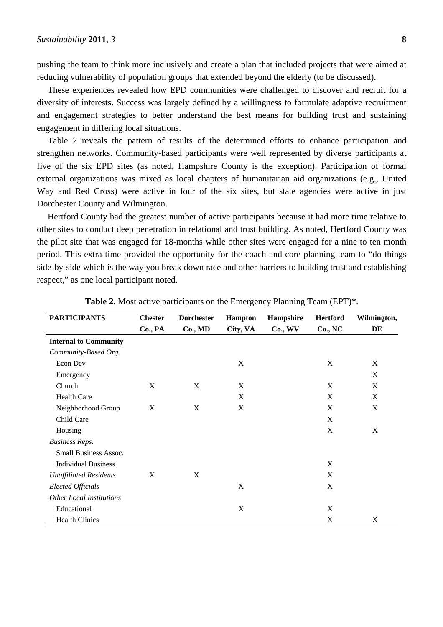pushing the team to think more inclusively and create a plan that included projects that were aimed at reducing vulnerability of population groups that extended beyond the elderly (to be discussed).

These experiences revealed how EPD communities were challenged to discover and recruit for a diversity of interests. Success was largely defined by a willingness to formulate adaptive recruitment and engagement strategies to better understand the best means for building trust and sustaining engagement in differing local situations.

Table 2 reveals the pattern of results of the determined efforts to enhance participation and strengthen networks. Community-based participants were well represented by diverse participants at five of the six EPD sites (as noted, Hampshire County is the exception). Participation of formal external organizations was mixed as local chapters of humanitarian aid organizations (e.g., United Way and Red Cross) were active in four of the six sites, but state agencies were active in just Dorchester County and Wilmington.

Hertford County had the greatest number of active participants because it had more time relative to other sites to conduct deep penetration in relational and trust building. As noted, Hertford County was the pilot site that was engaged for 18-months while other sites were engaged for a nine to ten month period. This extra time provided the opportunity for the coach and core planning team to "do things side-by-side which is the way you break down race and other barriers to building trust and establishing respect," as one local participant noted.

| <b>PARTICIPANTS</b>             | <b>Chester</b> | <b>Dorchester</b> | Hampton     | Hampshire | <b>Hertford</b> | Wilmington,      |
|---------------------------------|----------------|-------------------|-------------|-----------|-----------------|------------------|
|                                 | Co., PA        | Co., MD           | City, VA    | Co., WV   | Co., NC         | DE               |
| <b>Internal to Community</b>    |                |                   |             |           |                 |                  |
| Community-Based Org.            |                |                   |             |           |                 |                  |
| Econ Dev                        |                |                   | X           |           | X               | X                |
| Emergency                       |                |                   |             |           |                 | X                |
| Church                          | X              | X                 | X           |           | X               | X                |
| <b>Health Care</b>              |                |                   | X           |           | X               | $\mathbf X$      |
| Neighborhood Group              | X              | X                 | X           |           | X               | X                |
| Child Care                      |                |                   |             |           | X               |                  |
| Housing                         |                |                   |             |           | X               | X                |
| <b>Business Reps.</b>           |                |                   |             |           |                 |                  |
| Small Business Assoc.           |                |                   |             |           |                 |                  |
| <b>Individual Business</b>      |                |                   |             |           | X               |                  |
| <b>Unaffiliated Residents</b>   | X              | X                 |             |           | X               |                  |
| Elected Officials               |                |                   | X           |           | X               |                  |
| <b>Other Local Institutions</b> |                |                   |             |           |                 |                  |
| Educational                     |                |                   | $\mathbf X$ |           | X               |                  |
| <b>Health Clinics</b>           |                |                   |             |           | X               | $\boldsymbol{X}$ |

|  | <b>Table 2.</b> Most active participants on the Emergency Planning Team (EPT)*. |  |
|--|---------------------------------------------------------------------------------|--|
|  |                                                                                 |  |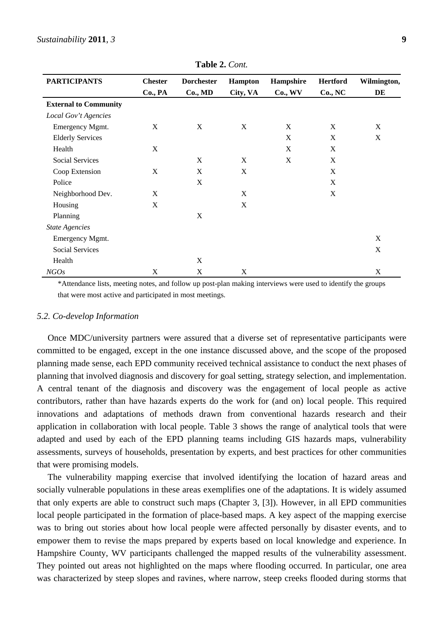| <b>PARTICIPANTS</b>          | <b>Chester</b> | <b>Dorchester</b> | Hampton     | Hampshire | <b>Hertford</b> | Wilmington, |
|------------------------------|----------------|-------------------|-------------|-----------|-----------------|-------------|
|                              | <b>Co., PA</b> | Co., MD           | City, VA    | Co., WV   | Co., NC         | DE          |
| <b>External to Community</b> |                |                   |             |           |                 |             |
| Local Gov't Agencies         |                |                   |             |           |                 |             |
| Emergency Mgmt.              | X              | X                 | X           | X         | X               | X           |
| <b>Elderly Services</b>      |                |                   |             | X         | X               | X           |
| Health                       | X              |                   |             | X         | X               |             |
| Social Services              |                | X                 | X           | X         | X               |             |
| Coop Extension               | X              | X                 | X           |           | X               |             |
| Police                       |                | X                 |             |           | X               |             |
| Neighborhood Dev.            | X              |                   | X           |           | X               |             |
| Housing                      | $\mathbf X$    |                   | $\mathbf X$ |           |                 |             |
| Planning                     |                | X                 |             |           |                 |             |
| <b>State Agencies</b>        |                |                   |             |           |                 |             |
| Emergency Mgmt.              |                |                   |             |           |                 | X           |
| Social Services              |                |                   |             |           |                 | X           |
| Health                       |                | X                 |             |           |                 |             |
| NGOs                         | $\mathbf X$    | X                 | X           |           |                 | X           |

**Table 2.** *Cont.* 

\*Attendance lists, meeting notes, and follow up post-plan making interviews were used to identify the groups that were most active and participated in most meetings.

#### *5.2. Co-develop Information*

Once MDC/university partners were assured that a diverse set of representative participants were committed to be engaged, except in the one instance discussed above, and the scope of the proposed planning made sense, each EPD community received technical assistance to conduct the next phases of planning that involved diagnosis and discovery for goal setting, strategy selection, and implementation. A central tenant of the diagnosis and discovery was the engagement of local people as active contributors, rather than have hazards experts do the work for (and on) local people. This required innovations and adaptations of methods drawn from conventional hazards research and their application in collaboration with local people. Table 3 shows the range of analytical tools that were adapted and used by each of the EPD planning teams including GIS hazards maps, vulnerability assessments, surveys of households, presentation by experts, and best practices for other communities that were promising models.

The vulnerability mapping exercise that involved identifying the location of hazard areas and socially vulnerable populations in these areas exemplifies one of the adaptations. It is widely assumed that only experts are able to construct such maps (Chapter 3, [3]). However, in all EPD communities local people participated in the formation of place-based maps. A key aspect of the mapping exercise was to bring out stories about how local people were affected personally by disaster events, and to empower them to revise the maps prepared by experts based on local knowledge and experience. In Hampshire County, WV participants challenged the mapped results of the vulnerability assessment. They pointed out areas not highlighted on the maps where flooding occurred. In particular, one area was characterized by steep slopes and ravines, where narrow, steep creeks flooded during storms that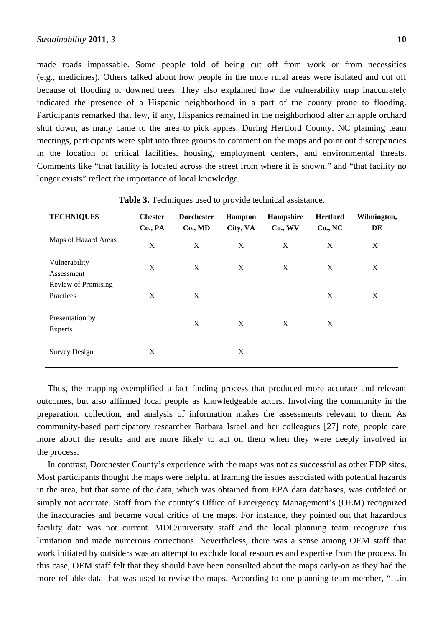made roads impassable. Some people told of being cut off from work or from necessities (e.g., medicines). Others talked about how people in the more rural areas were isolated and cut off because of flooding or downed trees. They also explained how the vulnerability map inaccurately indicated the presence of a Hispanic neighborhood in a part of the county prone to flooding. Participants remarked that few, if any, Hispanics remained in the neighborhood after an apple orchard shut down, as many came to the area to pick apples. During Hertford County, NC planning team meetings, participants were split into three groups to comment on the maps and point out discrepancies in the location of critical facilities, housing, employment centers, and environmental threats. Comments like "that facility is located across the street from where it is shown," and "that facility no longer exists" reflect the importance of local knowledge.

| <b>TECHNIQUES</b>                 | <b>Chester</b><br>Co., PA | <b>Dorchester</b><br>Co., MD | Hampton<br>City, VA | Hampshire<br>Co., WV | <b>Hertford</b><br>Co., NC | Wilmington,<br>DE |
|-----------------------------------|---------------------------|------------------------------|---------------------|----------------------|----------------------------|-------------------|
| Maps of Hazard Areas              | X                         | X                            | X                   | X                    | X                          | X                 |
| Vulnerability<br>Assessment       | X                         | X                            | X                   | X                    | X                          | X                 |
| Review of Promising<br>Practices  | X                         | X                            |                     |                      | X                          | X                 |
| Presentation by<br><b>Experts</b> |                           | X                            | X                   | X                    | X                          |                   |
| <b>Survey Design</b>              | X                         |                              | X                   |                      |                            |                   |

**Table 3.** Techniques used to provide technical assistance.

Thus, the mapping exemplified a fact finding process that produced more accurate and relevant outcomes, but also affirmed local people as knowledgeable actors. Involving the community in the preparation, collection, and analysis of information makes the assessments relevant to them. As community-based participatory researcher Barbara Israel and her colleagues [27] note, people care more about the results and are more likely to act on them when they were deeply involved in the process.

In contrast, Dorchester County's experience with the maps was not as successful as other EDP sites. Most participants thought the maps were helpful at framing the issues associated with potential hazards in the area, but that some of the data, which was obtained from EPA data databases, was outdated or simply not accurate. Staff from the county's Office of Emergency Management's (OEM) recognized the inaccuracies and became vocal critics of the maps. For instance, they pointed out that hazardous facility data was not current. MDC/university staff and the local planning team recognize this limitation and made numerous corrections. Nevertheless, there was a sense among OEM staff that work initiated by outsiders was an attempt to exclude local resources and expertise from the process. In this case, OEM staff felt that they should have been consulted about the maps early-on as they had the more reliable data that was used to revise the maps. According to one planning team member, "…in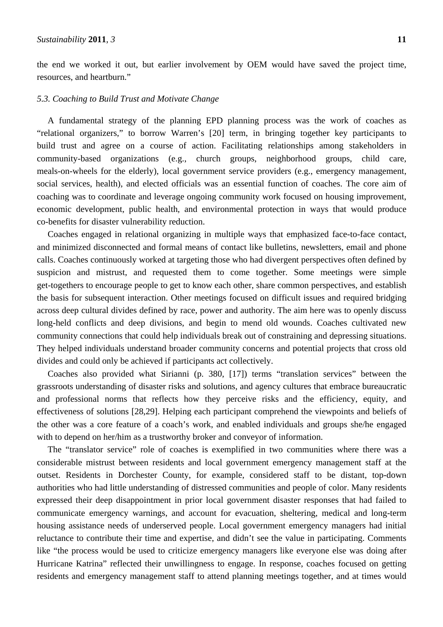the end we worked it out, but earlier involvement by OEM would have saved the project time, resources, and heartburn."

## *5.3. Coaching to Build Trust and Motivate Change*

A fundamental strategy of the planning EPD planning process was the work of coaches as "relational organizers," to borrow Warren's [20] term, in bringing together key participants to build trust and agree on a course of action. Facilitating relationships among stakeholders in community-based organizations (e.g., church groups, neighborhood groups, child care, meals-on-wheels for the elderly), local government service providers (e.g., emergency management, social services, health), and elected officials was an essential function of coaches. The core aim of coaching was to coordinate and leverage ongoing community work focused on housing improvement, economic development, public health, and environmental protection in ways that would produce co-benefits for disaster vulnerability reduction.

Coaches engaged in relational organizing in multiple ways that emphasized face-to-face contact, and minimized disconnected and formal means of contact like bulletins, newsletters, email and phone calls. Coaches continuously worked at targeting those who had divergent perspectives often defined by suspicion and mistrust, and requested them to come together. Some meetings were simple get-togethers to encourage people to get to know each other, share common perspectives, and establish the basis for subsequent interaction. Other meetings focused on difficult issues and required bridging across deep cultural divides defined by race, power and authority. The aim here was to openly discuss long-held conflicts and deep divisions, and begin to mend old wounds. Coaches cultivated new community connections that could help individuals break out of constraining and depressing situations. They helped individuals understand broader community concerns and potential projects that cross old divides and could only be achieved if participants act collectively.

Coaches also provided what Sirianni (p. 380, [17]) terms "translation services" between the grassroots understanding of disaster risks and solutions, and agency cultures that embrace bureaucratic and professional norms that reflects how they perceive risks and the efficiency, equity, and effectiveness of solutions [28,29]. Helping each participant comprehend the viewpoints and beliefs of the other was a core feature of a coach's work, and enabled individuals and groups she/he engaged with to depend on her/him as a trustworthy broker and conveyor of information.

The "translator service" role of coaches is exemplified in two communities where there was a considerable mistrust between residents and local government emergency management staff at the outset. Residents in Dorchester County, for example, considered staff to be distant, top-down authorities who had little understanding of distressed communities and people of color. Many residents expressed their deep disappointment in prior local government disaster responses that had failed to communicate emergency warnings, and account for evacuation, sheltering, medical and long-term housing assistance needs of underserved people. Local government emergency managers had initial reluctance to contribute their time and expertise, and didn't see the value in participating. Comments like "the process would be used to criticize emergency managers like everyone else was doing after Hurricane Katrina" reflected their unwillingness to engage. In response, coaches focused on getting residents and emergency management staff to attend planning meetings together, and at times would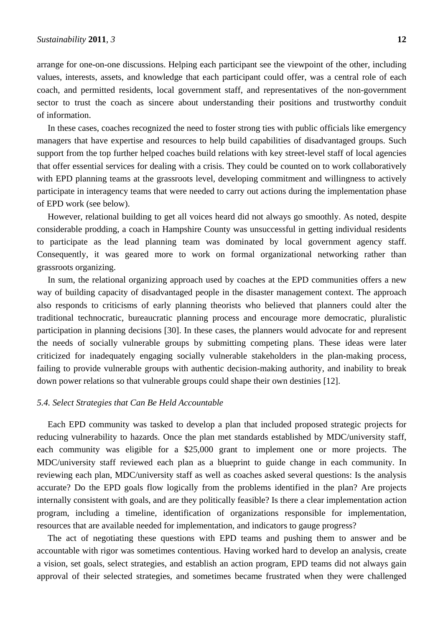arrange for one-on-one discussions. Helping each participant see the viewpoint of the other, including values, interests, assets, and knowledge that each participant could offer, was a central role of each coach, and permitted residents, local government staff, and representatives of the non-government sector to trust the coach as sincere about understanding their positions and trustworthy conduit of information.

In these cases, coaches recognized the need to foster strong ties with public officials like emergency managers that have expertise and resources to help build capabilities of disadvantaged groups. Such support from the top further helped coaches build relations with key street-level staff of local agencies that offer essential services for dealing with a crisis. They could be counted on to work collaboratively with EPD planning teams at the grassroots level, developing commitment and willingness to actively participate in interagency teams that were needed to carry out actions during the implementation phase of EPD work (see below).

However, relational building to get all voices heard did not always go smoothly. As noted, despite considerable prodding, a coach in Hampshire County was unsuccessful in getting individual residents to participate as the lead planning team was dominated by local government agency staff. Consequently, it was geared more to work on formal organizational networking rather than grassroots organizing.

In sum, the relational organizing approach used by coaches at the EPD communities offers a new way of building capacity of disadvantaged people in the disaster management context. The approach also responds to criticisms of early planning theorists who believed that planners could alter the traditional technocratic, bureaucratic planning process and encourage more democratic, pluralistic participation in planning decisions [30]. In these cases, the planners would advocate for and represent the needs of socially vulnerable groups by submitting competing plans. These ideas were later criticized for inadequately engaging socially vulnerable stakeholders in the plan-making process, failing to provide vulnerable groups with authentic decision-making authority, and inability to break down power relations so that vulnerable groups could shape their own destinies [12].

## *5.4. Select Strategies that Can Be Held Accountable*

Each EPD community was tasked to develop a plan that included proposed strategic projects for reducing vulnerability to hazards. Once the plan met standards established by MDC/university staff, each community was eligible for a \$25,000 grant to implement one or more projects. The MDC/university staff reviewed each plan as a blueprint to guide change in each community. In reviewing each plan, MDC/university staff as well as coaches asked several questions: Is the analysis accurate? Do the EPD goals flow logically from the problems identified in the plan? Are projects internally consistent with goals, and are they politically feasible? Is there a clear implementation action program, including a timeline, identification of organizations responsible for implementation, resources that are available needed for implementation, and indicators to gauge progress?

The act of negotiating these questions with EPD teams and pushing them to answer and be accountable with rigor was sometimes contentious. Having worked hard to develop an analysis, create a vision, set goals, select strategies, and establish an action program, EPD teams did not always gain approval of their selected strategies, and sometimes became frustrated when they were challenged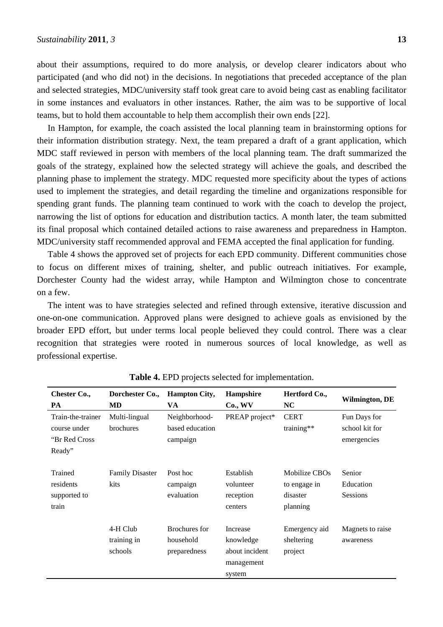about their assumptions, required to do more analysis, or develop clearer indicators about who participated (and who did not) in the decisions. In negotiations that preceded acceptance of the plan and selected strategies, MDC/university staff took great care to avoid being cast as enabling facilitator in some instances and evaluators in other instances. Rather, the aim was to be supportive of local teams, but to hold them accountable to help them accomplish their own ends [22].

In Hampton, for example, the coach assisted the local planning team in brainstorming options for their information distribution strategy. Next, the team prepared a draft of a grant application, which MDC staff reviewed in person with members of the local planning team. The draft summarized the goals of the strategy, explained how the selected strategy will achieve the goals, and described the planning phase to implement the strategy. MDC requested more specificity about the types of actions used to implement the strategies, and detail regarding the timeline and organizations responsible for spending grant funds. The planning team continued to work with the coach to develop the project, narrowing the list of options for education and distribution tactics. A month later, the team submitted its final proposal which contained detailed actions to raise awareness and preparedness in Hampton. MDC/university staff recommended approval and FEMA accepted the final application for funding.

Table 4 shows the approved set of projects for each EPD community. Different communities chose to focus on different mixes of training, shelter, and public outreach initiatives. For example, Dorchester County had the widest array, while Hampton and Wilmington chose to concentrate on a few.

The intent was to have strategies selected and refined through extensive, iterative discussion and one-on-one communication. Approved plans were designed to achieve goals as envisioned by the broader EPD effort, but under terms local people believed they could control. There was a clear recognition that strategies were rooted in numerous sources of local knowledge, as well as professional expertise.

| Chester Co.,<br>PA                                            | Dorchester Co.,<br><b>MD</b>       | <b>Hampton City,</b><br>VA                   | Hampshire<br>Co., WV                                            | Hertford Co.,<br>NC                                   | <b>Wilmington, DE</b>                         |
|---------------------------------------------------------------|------------------------------------|----------------------------------------------|-----------------------------------------------------------------|-------------------------------------------------------|-----------------------------------------------|
| Train-the-trainer<br>course under<br>"Br Red Cross"<br>Ready" | Multi-lingual<br>brochures         | Neighborhood-<br>based education<br>campaign | PREAP project*                                                  | <b>CERT</b><br>training**                             | Fun Days for<br>school kit for<br>emergencies |
| Trained<br>residents<br>supported to<br>train                 | <b>Family Disaster</b><br>kits     | Post hoc<br>campaign<br>evaluation           | Establish<br>volunteer<br>reception<br>centers                  | Mobilize CBOs<br>to engage in<br>disaster<br>planning | Senior<br>Education<br>Sessions               |
|                                                               | 4-H Club<br>training in<br>schools | Brochures for<br>household<br>preparedness   | Increase<br>knowledge<br>about incident<br>management<br>system | Emergency aid<br>sheltering<br>project                | Magnets to raise<br>awareness                 |

**Table 4.** EPD projects selected for implementation.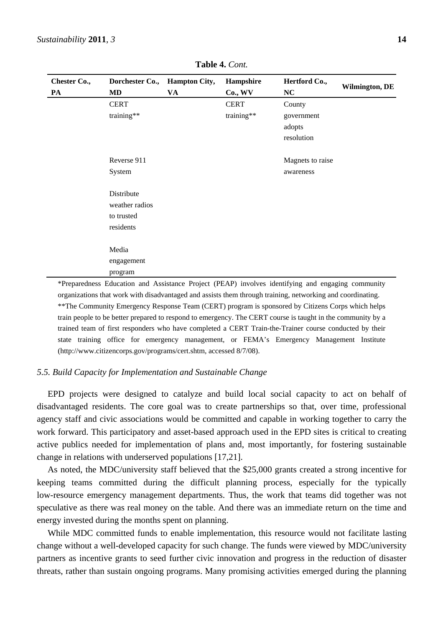| Chester Co.,<br>PA | Dorchester Co.,<br>MD | <b>Hampton City,</b><br>VA | Hampshire<br>Co., WV | Hertford Co.,<br>NC | Wilmington, DE |
|--------------------|-----------------------|----------------------------|----------------------|---------------------|----------------|
|                    | <b>CERT</b>           |                            | <b>CERT</b>          | County              |                |
|                    | training**            |                            | training**           | government          |                |
|                    |                       |                            |                      | adopts              |                |
|                    |                       |                            |                      | resolution          |                |
|                    | Reverse 911           |                            |                      | Magnets to raise    |                |
|                    | System                |                            |                      | awareness           |                |
|                    | Distribute            |                            |                      |                     |                |
|                    | weather radios        |                            |                      |                     |                |
|                    | to trusted            |                            |                      |                     |                |
|                    | residents             |                            |                      |                     |                |
|                    | Media                 |                            |                      |                     |                |
|                    | engagement            |                            |                      |                     |                |
|                    | program               |                            |                      |                     |                |

**Table 4.** *Cont.* 

\*Preparedness Education and Assistance Project (PEAP) involves identifying and engaging community organizations that work with disadvantaged and assists them through training, networking and coordinating. \*\*The Community Emergency Response Team (CERT) program is sponsored by Citizens Corps which helps train people to be better prepared to respond to emergency. The CERT course is taught in the community by a trained team of first responders who have completed a CERT Train-the-Trainer course conducted by their state training office for emergency management, or FEMA's Emergency Management Institute (http://www.citizencorps.gov/programs/cert.shtm, accessed 8/7/08).

## *5.5. Build Capacity for Implementation and Sustainable Change*

EPD projects were designed to catalyze and build local social capacity to act on behalf of disadvantaged residents. The core goal was to create partnerships so that, over time, professional agency staff and civic associations would be committed and capable in working together to carry the work forward. This participatory and asset-based approach used in the EPD sites is critical to creating active publics needed for implementation of plans and, most importantly, for fostering sustainable change in relations with underserved populations [17,21].

As noted, the MDC/university staff believed that the \$25,000 grants created a strong incentive for keeping teams committed during the difficult planning process, especially for the typically low-resource emergency management departments. Thus, the work that teams did together was not speculative as there was real money on the table. And there was an immediate return on the time and energy invested during the months spent on planning.

While MDC committed funds to enable implementation, this resource would not facilitate lasting change without a well-developed capacity for such change. The funds were viewed by MDC/university partners as incentive grants to seed further civic innovation and progress in the reduction of disaster threats, rather than sustain ongoing programs. Many promising activities emerged during the planning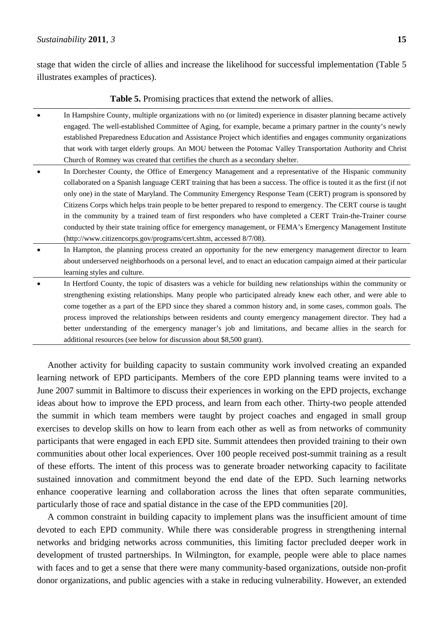stage that widen the circle of allies and increase the likelihood for successful implementation (Table 5 illustrates examples of practices).

**Table 5.** Promising practices that extend the network of allies.

| In Hampshire County, multiple organizations with no (or limited) experience in disaster planning became actively       |
|------------------------------------------------------------------------------------------------------------------------|
| engaged. The well-established Committee of Aging, for example, became a primary partner in the county's newly          |
| established Preparedness Education and Assistance Project which identifies and engages community organizations         |
| that work with target elderly groups. An MOU between the Potomac Valley Transportation Authority and Christ            |
| Church of Romney was created that certifies the church as a secondary shelter.                                         |
| In Dorchester County, the Office of Emergency Management and a representative of the Hispanic community                |
| collaborated on a Spanish language CERT training that has been a success. The office is touted it as the first (if not |
| only one) in the state of Maryland. The Community Emergency Response Team (CERT) program is sponsored by               |
| Citizens Corps which helps train people to be better prepared to respond to emergency. The CERT course is taught       |
| in the community by a trained team of first responders who have completed a CERT Train-the-Trainer course              |
| conducted by their state training office for emergency management, or FEMA's Emergency Management Institute            |
| (http://www.citizencorps.gov/programs/cert.shtm, accessed 8/7/08).                                                     |
| In Hampton, the planning process created an opportunity for the new emergency management director to learn             |
| about underserved neighborhoods on a personal level, and to enact an education campaign aimed at their particular      |
| learning styles and culture.                                                                                           |
| In Hertford County, the topic of disasters was a vehicle for building new relationships within the community or        |
| strengthening existing relationships. Many people who participated already knew each other, and were able to           |
| come together as a part of the EPD since they shared a common history and, in some cases, common goals. The            |
| process improved the relationships between residents and county emergency management director. They had a              |
| better understanding of the emergency manager's job and limitations, and became allies in the search for               |
| additional resources (see below for discussion about \$8,500 grant).                                                   |

Another activity for building capacity to sustain community work involved creating an expanded learning network of EPD participants. Members of the core EPD planning teams were invited to a June 2007 summit in Baltimore to discuss their experiences in working on the EPD projects, exchange ideas about how to improve the EPD process, and learn from each other. Thirty-two people attended the summit in which team members were taught by project coaches and engaged in small group exercises to develop skills on how to learn from each other as well as from networks of community participants that were engaged in each EPD site. Summit attendees then provided training to their own communities about other local experiences. Over 100 people received post-summit training as a result of these efforts. The intent of this process was to generate broader networking capacity to facilitate sustained innovation and commitment beyond the end date of the EPD. Such learning networks enhance cooperative learning and collaboration across the lines that often separate communities, particularly those of race and spatial distance in the case of the EPD communities [20].

A common constraint in building capacity to implement plans was the insufficient amount of time devoted to each EPD community. While there was considerable progress in strengthening internal networks and bridging networks across communities, this limiting factor precluded deeper work in development of trusted partnerships. In Wilmington, for example, people were able to place names with faces and to get a sense that there were many community-based organizations, outside non-profit donor organizations, and public agencies with a stake in reducing vulnerability. However, an extended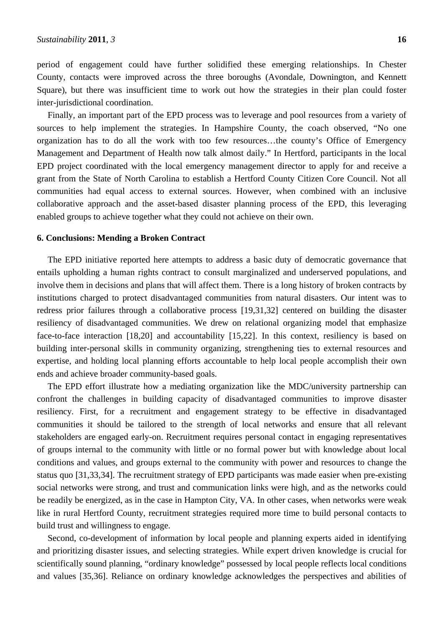period of engagement could have further solidified these emerging relationships. In Chester County, contacts were improved across the three boroughs (Avondale, Downington, and Kennett Square), but there was insufficient time to work out how the strategies in their plan could foster inter-jurisdictional coordination.

Finally, an important part of the EPD process was to leverage and pool resources from a variety of sources to help implement the strategies. In Hampshire County, the coach observed, "No one organization has to do all the work with too few resources…the county's Office of Emergency Management and Department of Health now talk almost daily." In Hertford, participants in the local EPD project coordinated with the local emergency management director to apply for and receive a grant from the State of North Carolina to establish a Hertford County Citizen Core Council. Not all communities had equal access to external sources. However, when combined with an inclusive collaborative approach and the asset-based disaster planning process of the EPD, this leveraging enabled groups to achieve together what they could not achieve on their own.

## **6. Conclusions: Mending a Broken Contract**

The EPD initiative reported here attempts to address a basic duty of democratic governance that entails upholding a human rights contract to consult marginalized and underserved populations, and involve them in decisions and plans that will affect them. There is a long history of broken contracts by institutions charged to protect disadvantaged communities from natural disasters. Our intent was to redress prior failures through a collaborative process [19,31,32] centered on building the disaster resiliency of disadvantaged communities. We drew on relational organizing model that emphasize face-to-face interaction [18,20] and accountability [15,22]. In this context, resiliency is based on building inter-personal skills in community organizing, strengthening ties to external resources and expertise, and holding local planning efforts accountable to help local people accomplish their own ends and achieve broader community-based goals.

The EPD effort illustrate how a mediating organization like the MDC/university partnership can confront the challenges in building capacity of disadvantaged communities to improve disaster resiliency*.* First, for a recruitment and engagement strategy to be effective in disadvantaged communities it should be tailored to the strength of local networks and ensure that all relevant stakeholders are engaged early-on. Recruitment requires personal contact in engaging representatives of groups internal to the community with little or no formal power but with knowledge about local conditions and values, and groups external to the community with power and resources to change the status quo [31,33,34]. The recruitment strategy of EPD participants was made easier when pre-existing social networks were strong, and trust and communication links were high, and as the networks could be readily be energized, as in the case in Hampton City, VA. In other cases, when networks were weak like in rural Hertford County, recruitment strategies required more time to build personal contacts to build trust and willingness to engage.

Second, co-development of information by local people and planning experts aided in identifying and prioritizing disaster issues, and selecting strategies. While expert driven knowledge is crucial for scientifically sound planning, "ordinary knowledge" possessed by local people reflects local conditions and values [35,36]. Reliance on ordinary knowledge acknowledges the perspectives and abilities of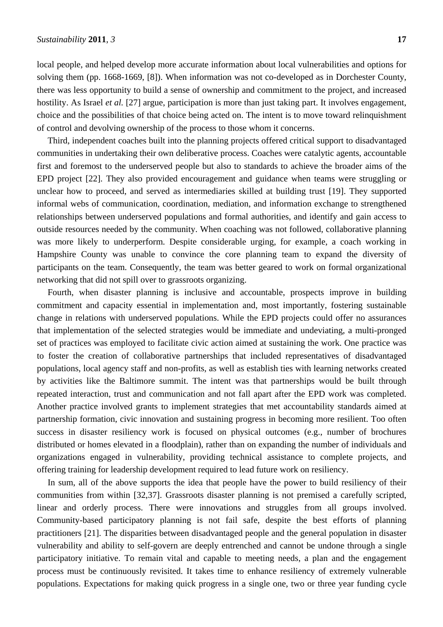local people, and helped develop more accurate information about local vulnerabilities and options for solving them (pp. 1668-1669, [8]). When information was not co-developed as in Dorchester County, there was less opportunity to build a sense of ownership and commitment to the project, and increased hostility. As Israel *et al.* [27] argue, participation is more than just taking part. It involves engagement,

Third, independent coaches built into the planning projects offered critical support to disadvantaged communities in undertaking their own deliberative process. Coaches were catalytic agents, accountable first and foremost to the underserved people but also to standards to achieve the broader aims of the EPD project [22]. They also provided encouragement and guidance when teams were struggling or unclear how to proceed, and served as intermediaries skilled at building trust [19]. They supported informal webs of communication, coordination, mediation, and information exchange to strengthened relationships between underserved populations and formal authorities, and identify and gain access to outside resources needed by the community. When coaching was not followed, collaborative planning was more likely to underperform. Despite considerable urging, for example, a coach working in Hampshire County was unable to convince the core planning team to expand the diversity of participants on the team. Consequently, the team was better geared to work on formal organizational networking that did not spill over to grassroots organizing.

choice and the possibilities of that choice being acted on. The intent is to move toward relinquishment

of control and devolving ownership of the process to those whom it concerns.

Fourth, when disaster planning is inclusive and accountable, prospects improve in building commitment and capacity essential in implementation and, most importantly, fostering sustainable change in relations with underserved populations. While the EPD projects could offer no assurances that implementation of the selected strategies would be immediate and undeviating, a multi-pronged set of practices was employed to facilitate civic action aimed at sustaining the work. One practice was to foster the creation of collaborative partnerships that included representatives of disadvantaged populations, local agency staff and non-profits, as well as establish ties with learning networks created by activities like the Baltimore summit. The intent was that partnerships would be built through repeated interaction, trust and communication and not fall apart after the EPD work was completed. Another practice involved grants to implement strategies that met accountability standards aimed at partnership formation, civic innovation and sustaining progress in becoming more resilient. Too often success in disaster resiliency work is focused on physical outcomes (e.g., number of brochures distributed or homes elevated in a floodplain), rather than on expanding the number of individuals and organizations engaged in vulnerability, providing technical assistance to complete projects, and offering training for leadership development required to lead future work on resiliency.

In sum, all of the above supports the idea that people have the power to build resiliency of their communities from within [32,37]. Grassroots disaster planning is not premised a carefully scripted, linear and orderly process. There were innovations and struggles from all groups involved. Community-based participatory planning is not fail safe, despite the best efforts of planning practitioners [21]. The disparities between disadvantaged people and the general population in disaster vulnerability and ability to self-govern are deeply entrenched and cannot be undone through a single participatory initiative. To remain vital and capable to meeting needs, a plan and the engagement process must be continuously revisited. It takes time to enhance resiliency of extremely vulnerable populations. Expectations for making quick progress in a single one, two or three year funding cycle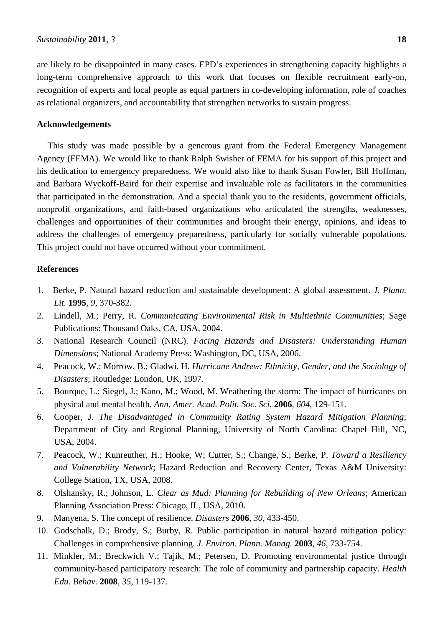are likely to be disappointed in many cases. EPD's experiences in strengthening capacity highlights a long-term comprehensive approach to this work that focuses on flexible recruitment early-on, recognition of experts and local people as equal partners in co-developing information, role of coaches as relational organizers, and accountability that strengthen networks to sustain progress.

## **Acknowledgements**

This study was made possible by a generous grant from the Federal Emergency Management Agency (FEMA). We would like to thank Ralph Swisher of FEMA for his support of this project and his dedication to emergency preparedness. We would also like to thank Susan Fowler, Bill Hoffman, and Barbara Wyckoff-Baird for their expertise and invaluable role as facilitators in the communities that participated in the demonstration. And a special thank you to the residents, government officials, nonprofit organizations, and faith-based organizations who articulated the strengths, weaknesses, challenges and opportunities of their communities and brought their energy, opinions, and ideas to address the challenges of emergency preparedness, particularly for socially vulnerable populations. This project could not have occurred without your commitment.

## **References**

- 1. Berke, P. Natural hazard reduction and sustainable development: A global assessment. *J. Plann. Lit.* **1995**, *9*, 370-382.
- 2. Lindell, M.; Perry, R. *Communicating Environmental Risk in Multiethnic Communities*; Sage Publications: Thousand Oaks, CA, USA, 2004.
- 3. National Research Council (NRC). *Facing Hazards and Disasters: Understanding Human Dimensions*; National Academy Press: Washington, DC, USA, 2006.
- 4. Peacock, W.; Morrow, B.; Gladwi, H. *Hurricane Andrew: Ethnicity, Gender, and the Sociology of Disasters*; Routledge: London, UK, 1997.
- 5. Bourque, L.; Siegel, J.; Kano, M.; Wood, M. Weathering the storm: The impact of hurricanes on physical and mental health. *Ann. Amer. Acad. Polit. Soc. Sci.* **2006**, *604*, 129-151.
- 6. Cooper, J. *The Disadvantaged in Community Rating System Hazard Mitigation Planning*; Department of City and Regional Planning, University of North Carolina: Chapel Hill, NC, USA, 2004.
- 7. Peacock, W.; Kunreuther, H.; Hooke, W; Cutter, S.; Change, S.; Berke, P. *Toward a Resiliency and Vulnerability Network*; Hazard Reduction and Recovery Center, Texas A&M University: College Station, TX, USA, 2008.
- 8. Olshansky, R.; Johnson, L. *Clear as Mud: Planning for Rebuilding of New Orleans*; American Planning Association Press: Chicago, IL, USA, 2010.
- 9. Manyena, S. The concept of resilience. *Disasters* **2006**, *30*, 433-450.
- 10. Godschalk, D.; Brody, S.; Burby, R. Public participation in natural hazard mitigation policy: Challenges in comprehensive planning. *J. Environ. Plann. Manag.* **2003**, *46*, 733-754.
- 11. Minkler, M.; Breckwich V.; Tajik, M.; Petersen, D. Promoting environmental justice through community-based participatory research: The role of community and partnership capacity. *Health Edu. Behav.* **2008**, *35*, 119-137.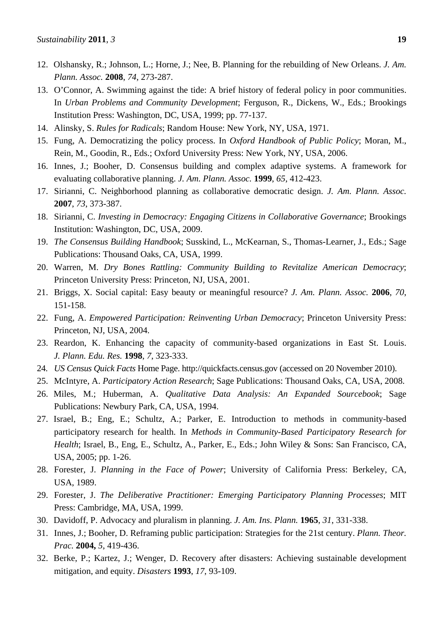- 12. Olshansky, R.; Johnson, L.; Horne, J.; Nee, B. Planning for the rebuilding of New Orleans. *J. Am. Plann. Assoc.* **2008**, *74*, 273-287.
- 13. O'Connor, A. Swimming against the tide: A brief history of federal policy in poor communities. In *Urban Problems and Community Development*; Ferguson, R., Dickens, W., Eds.; Brookings Institution Press: Washington, DC, USA, 1999; pp. 77-137.
- 14. Alinsky, S. *Rules for Radicals*; Random House: New York, NY, USA, 1971.
- 15. Fung, A. Democratizing the policy process. In *Oxford Handbook of Public Policy*; Moran, M., Rein, M., Goodin, R., Eds.; Oxford University Press: New York, NY, USA, 2006.
- 16. Innes, J.; Booher, D. Consensus building and complex adaptive systems. A framework for evaluating collaborative planning. *J. Am. Plann. Assoc.* **1999**, *65*, 412-423.
- 17. Sirianni, C. Neighborhood planning as collaborative democratic design. *J. Am. Plann. Assoc.* **2007**, *73*, 373-387.
- 18. Sirianni, C. *Investing in Democracy: Engaging Citizens in Collaborative Governance*; Brookings Institution: Washington, DC, USA, 2009.
- 19. *The Consensus Building Handbook*; Susskind, L., McKearnan, S., Thomas-Learner, J., Eds.; Sage Publications: Thousand Oaks, CA, USA, 1999.
- 20. Warren, M. *Dry Bones Rattling: Community Building to Revitalize American Democracy*; Princeton University Press: Princeton, NJ, USA, 2001.
- 21. Briggs, X. Social capital: Easy beauty or meaningful resource? *J. Am. Plann. Assoc.* **2006**, *70*, 151-158.
- 22. Fung, A. *Empowered Participation: Reinventing Urban Democracy*; Princeton University Press: Princeton, NJ, USA, 2004.
- 23. Reardon, K. Enhancing the capacity of community-based organizations in East St. Louis. *J. Plann. Edu. Res.* **1998**, *7*, 323-333.
- 24. *US Census Quick Facts* Home Page. http://quickfacts.census.gov (accessed on 20 November 2010).
- 25. McIntyre, A. *Participatory Action Research*; Sage Publications: Thousand Oaks, CA, USA, 2008.
- 26. Miles, M.; Huberman, A. *Qualitative Data Analysis: An Expanded Sourcebook*; Sage Publications: Newbury Park, CA, USA, 1994.
- 27. Israel, B.; Eng, E.; Schultz, A.; Parker, E. Introduction to methods in community-based participatory research for health. In *Methods in Community-Based Participatory Research for Health*; Israel, B., Eng, E., Schultz, A., Parker, E., Eds.; John Wiley & Sons: San Francisco, CA, USA, 2005; pp. 1-26.
- 28. Forester, J. *Planning in the Face of Power*; University of California Press: Berkeley, CA, USA, 1989.
- 29. Forester, J. *The Deliberative Practitioner: Emerging Participatory Planning Processes*; MIT Press: Cambridge, MA, USA, 1999.
- 30. Davidoff, P. Advocacy and pluralism in planning. *J. Am. Ins. Plann.* **1965**, *31*, 331-338.
- 31. Innes, J.; Booher, D. Reframing public participation: Strategies for the 21st century. *Plann. Theor. Prac.* **2004,** *5*, 419-436.
- 32. Berke, P.; Kartez, J.; Wenger, D. Recovery after disasters: Achieving sustainable development mitigation, and equity. *Disasters* **1993**, *17*, 93-109.